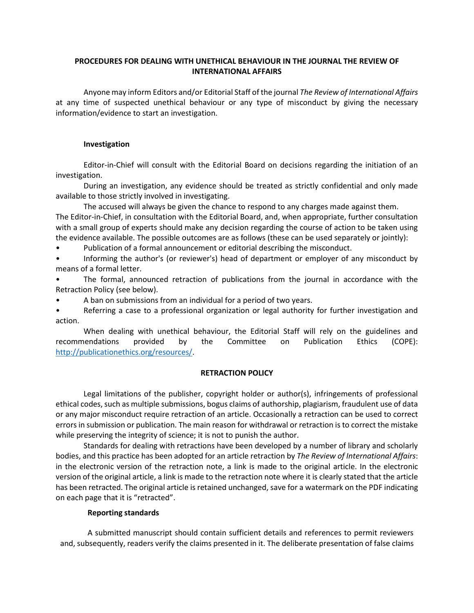# **PROCEDURES FOR DEALING WITH UNETHICAL BEHAVIOUR IN THE JOURNAL THE REVIEW OF INTERNATIONAL AFFAIRS**

Anyone may inform Editors and/or Editorial Staff of the journal *The Review of International Affairs* at any time of suspected unethical behaviour or any type of misconduct by giving the necessary information/evidence to start an investigation.

#### **Investigation**

Editor-in-Chief will consult with the Editorial Board on decisions regarding the initiation of an investigation.

During an investigation, any evidence should be treated as strictly confidential and only made available to those strictly involved in investigating.

The accused will always be given the chance to respond to any charges made against them. The Editor-in-Chief, in consultation with the Editorial Board, and, when appropriate, further consultation with a small group of experts should make any decision regarding the course of action to be taken using the evidence available. The possible outcomes are as follows (these can be used separately or jointly):

• Publication of a formal announcement or editorial describing the misconduct.

• Informing the author's (or reviewer's) head of department or employer of any misconduct by means of a formal letter.

• The formal, announced retraction of publications from the journal in accordance with the Retraction Policy (see below).

• A ban on submissions from an individual for a period of two years.

Referring a case to a professional organization or legal authority for further investigation and action.

When dealing with unethical behaviour, the Editorial Staff will rely on the guidelines and recommendations provided by the Committee on Publication Ethics (COPE): [http://publicationethics.org/resources/.](http://publicationethics.org/resources/)

# **RETRACTION POLICY**

Legal limitations of the publisher, copyright holder or author(s), infringements of professional ethical codes, such as multiple submissions, bogus claims of authorship, plagiarism, fraudulent use of data or any major misconduct require retraction of an article. Occasionally a retraction can be used to correct errors in submission or publication. The main reason for withdrawal or retraction is to correct the mistake while preserving the integrity of science; it is not to punish the author.

Standards for dealing with retractions have been developed by a number of library and scholarly bodies, and this practice has been adopted for an article retraction by *The Review of International Affairs*: in the electronic version of the retraction note, a link is made to the original article. In the electronic version of the original article, a link is made to the retraction note where it is clearly stated that the article has been retracted. The original article is retained unchanged, save for a watermark on the PDF indicating on each page that it is "retracted".

# **Reporting standards**

A submitted manuscript should contain sufficient details and references to permit reviewers and, subsequently, readers verify the claims presented in it. The deliberate presentation of false claims